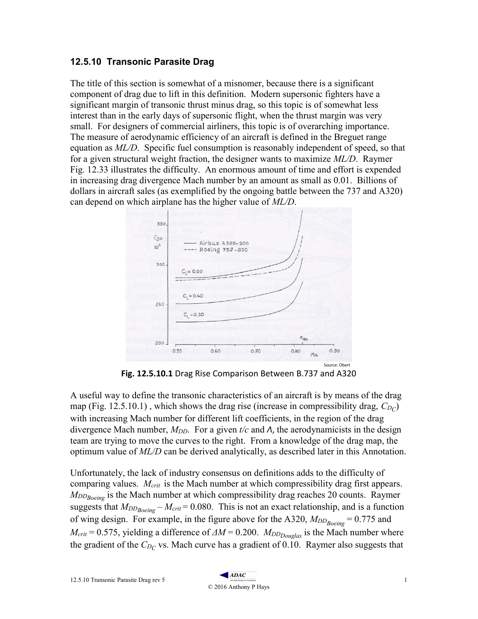## 12.5.10 Transonic Parasite Drag

The title of this section is somewhat of a misnomer, because there is a significant component of drag due to lift in this definition. Modern supersonic fighters have a significant margin of transonic thrust minus drag, so this topic is of somewhat less interest than in the early days of supersonic flight, when the thrust margin was very small. For designers of commercial airliners, this topic is of overarching importance. The measure of aerodynamic efficiency of an aircraft is defined in the Breguet range equation as  $ML/D$ . Specific fuel consumption is reasonably independent of speed, so that for a given structural weight fraction, the designer wants to maximize ML/D. Raymer Fig. 12.33 illustrates the difficulty. An enormous amount of time and effort is expended in increasing drag divergence Mach number by an amount as small as 0.01. Billions of dollars in aircraft sales (as exemplified by the ongoing battle between the 737 and A320) can depend on which airplane has the higher value of ML/D.



Fig. 12.5.10.1 Drag Rise Comparison Between B.737 and A320

A useful way to define the transonic characteristics of an aircraft is by means of the drag map (Fig. 12.5.10.1), which shows the drag rise (increase in compressibility drag,  $C_{DC}$ ) with increasing Mach number for different lift coefficients, in the region of the drag divergence Mach number,  $M_{DD}$ . For a given t/c and  $\Lambda$ , the aerodynamicists in the design team are trying to move the curves to the right. From a knowledge of the drag map, the optimum value of  $ML/D$  can be derived analytically, as described later in this Annotation.

Unfortunately, the lack of industry consensus on definitions adds to the difficulty of comparing values.  $M_{crit}$  is the Mach number at which compressibility drag first appears.  $M_{DDBoeine}$  is the Mach number at which compressibility drag reaches 20 counts. Raymer suggests that  $M_{DD_{Boeing}} - M_{crit} = 0.080$ . This is not an exact relationship, and is a function of wing design. For example, in the figure above for the A320,  $M_{DD_{Boeing}} = 0.775$  and  $M_{crit} = 0.575$ , yielding a difference of  $\Delta M = 0.200$ .  $M_{DDouglas}$  is the Mach number where the gradient of the  $C_{D_C}$  vs. Mach curve has a gradient of 0.10. Raymer also suggests that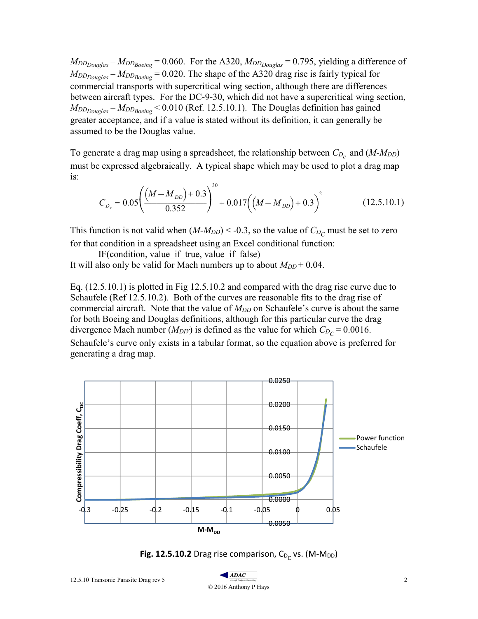$M_{DD_{Douglas}} - M_{DD_{Boeing}} = 0.060$ . For the A320,  $M_{DD_{Douglas}} = 0.795$ , yielding a difference of  $M_{DD_{Douglas}} - M_{DD_{Boeing}} = 0.020$ . The shape of the A320 drag rise is fairly typical for commercial transports with supercritical wing section, although there are differences between aircraft types. For the DC-9-30, which did not have a supercritical wing section,  $M_{DD_{Douglas}} - M_{DD_{Boeing}} < 0.010$  (Ref. 12.5.10.1). The Douglas definition has gained greater acceptance, and if a value is stated without its definition, it can generally be assumed to be the Douglas value.

To generate a drag map using a spreadsheet, the relationship between  $C_{D_c}$  and  $(M-M_{DD})$ must be expressed algebraically. A typical shape which may be used to plot a drag map is:

$$
C_{D_c} = 0.05 \left( \frac{(M - M_{DD}) + 0.3}{0.352} \right)^{30} + 0.017 \left( (M - M_{DD}) + 0.3 \right)^2 \tag{12.5.10.1}
$$

This function is not valid when  $(M-M_{DD}) < -0.3$ , so the value of  $C_{D_C}$  must be set to zero for that condition in a spreadsheet using an Excel conditional function:

IF(condition, value if true, value if false) It will also only be valid for Mach numbers up to about  $M_{DD}$  + 0.04.

Eq. (12.5.10.1) is plotted in Fig 12.5.10.2 and compared with the drag rise curve due to Schaufele (Ref 12.5.10.2). Both of the curves are reasonable fits to the drag rise of commercial aircraft. Note that the value of  $M_{DD}$  on Schaufele's curve is about the same for both Boeing and Douglas definitions, although for this particular curve the drag divergence Mach number ( $M_{DIV}$ ) is defined as the value for which  $C_{D_C} = 0.0016$ . Schaufele's curve only exists in a tabular format, so the equation above is preferred for generating a drag map.



**Fig. 12.5.10.2** Drag rise comparison,  $C_{D_C}$  vs. (M-M<sub>DD</sub>)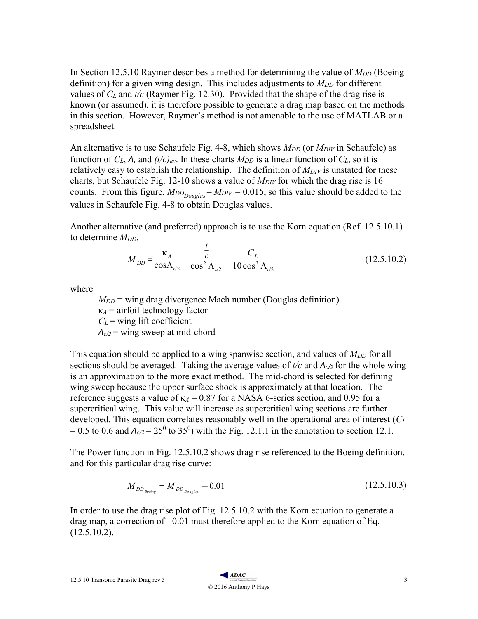In Section 12.5.10 Raymer describes a method for determining the value of  $M_{DD}$  (Boeing definition) for a given wing design. This includes adjustments to  $M_{DD}$  for different values of  $C_L$  and t/c (Raymer Fig. 12.30). Provided that the shape of the drag rise is known (or assumed), it is therefore possible to generate a drag map based on the methods in this section. However, Raymer's method is not amenable to the use of MATLAB or a spreadsheet.

An alternative is to use Schaufele Fig. 4-8, which shows  $M_{DD}$  (or  $M_{DIV}$  in Schaufele) as function of  $C_L$ ,  $\Lambda$ , and  $(t/c)_{av}$ . In these charts  $M_{DD}$  is a linear function of  $C_L$ , so it is relatively easy to establish the relationship. The definition of  $M_{\text{DIV}}$  is unstated for these charts, but Schaufele Fig. 12-10 shows a value of  $M_{DIV}$  for which the drag rise is 16 counts. From this figure,  $M_{DD_{Douglas}} - M_{DIV} = 0.015$ , so this value should be added to the values in Schaufele Fig. 4-8 to obtain Douglas values.

Another alternative (and preferred) approach is to use the Korn equation (Ref. 12.5.10.1) to determine  $M_{DD}$ .

$$
M_{DD} = \frac{\kappa_A}{\cos \Lambda_{c/2}} - \frac{\frac{t}{c}}{\cos^2 \Lambda_{c/2}} - \frac{C_L}{10 \cos^3 \Lambda_{c/2}}
$$
(12.5.10.2)

where

 $M_{DD}$  = wing drag divergence Mach number (Douglas definition)  $\kappa_A$  = airfoil technology factor  $C<sub>L</sub>$  = wing lift coefficient  $\Lambda_{c/2}$  = wing sweep at mid-chord

This equation should be applied to a wing spanwise section, and values of  $M_{DD}$  for all sections should be averaged. Taking the average values of  $t/c$  and  $\Lambda_{c/2}$  for the whole wing is an approximation to the more exact method. The mid-chord is selected for defining wing sweep because the upper surface shock is approximately at that location. The reference suggests a value of  $\kappa_A$  = 0.87 for a NASA 6-series section, and 0.95 for a supercritical wing. This value will increase as supercritical wing sections are further developed. This equation correlates reasonably well in the operational area of interest  $(C_L)$ = 0.5 to 0.6 and  $A_{c/2}$  = 25<sup>0</sup> to 35<sup>0</sup>) with the Fig. 12.1.1 in the annotation to section 12.1.

The Power function in Fig. 12.5.10.2 shows drag rise referenced to the Boeing definition, and for this particular drag rise curve:

$$
M_{DD_{Boeing}} = M_{DD_{Douglas}} - 0.01\tag{12.5.10.3}
$$

In order to use the drag rise plot of Fig. 12.5.10.2 with the Korn equation to generate a drag map, a correction of - 0.01 must therefore applied to the Korn equation of Eq.  $(12.5.10.2).$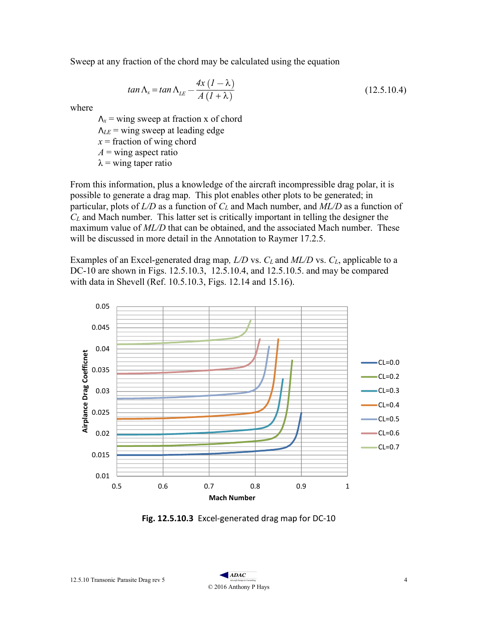Sweep at any fraction of the chord may be calculated using the equation

$$
tan \Lambda_x = tan \Lambda_{LE} - \frac{4x (1 - \lambda)}{A (1 + \lambda)}
$$
\n(12.5.10.4)

where

 $\Lambda_x$  = wing sweep at fraction x of chord  $\Lambda_{LE}$  = wing sweep at leading edge  $x =$  fraction of wing chord  $A =$  wing aspect ratio  $\lambda$  = wing taper ratio

From this information, plus a knowledge of the aircraft incompressible drag polar, it is possible to generate a drag map. This plot enables other plots to be generated; in particular, plots of  $L/D$  as a function of  $C<sub>L</sub>$  and Mach number, and  $ML/D$  as a function of  $C_L$  and Mach number. This latter set is critically important in telling the designer the maximum value of ML/D that can be obtained, and the associated Mach number. These will be discussed in more detail in the Annotation to Raymer 17.2.5.

Examples of an Excel-generated drag map,  $L/D$  vs.  $C_L$  and  $ML/D$  vs.  $C_L$ , applicable to a DC-10 are shown in Figs. 12.5.10.3, 12.5.10.4, and 12.5.10.5. and may be compared with data in Shevell (Ref. 10.5.10.3, Figs. 12.14 and 15.16).



Fig. 12.5.10.3 Excel-generated drag map for DC-10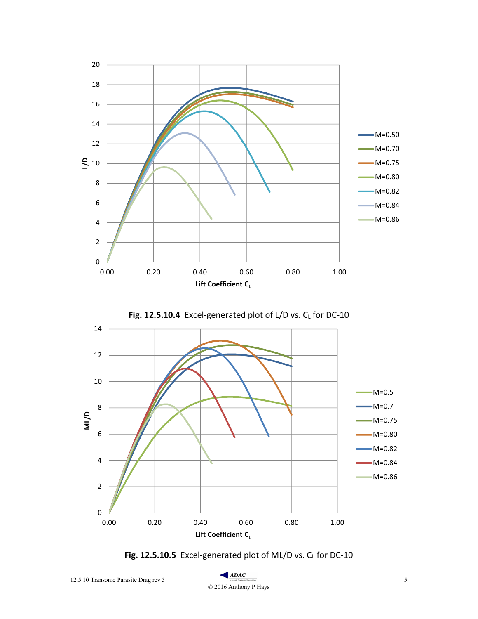